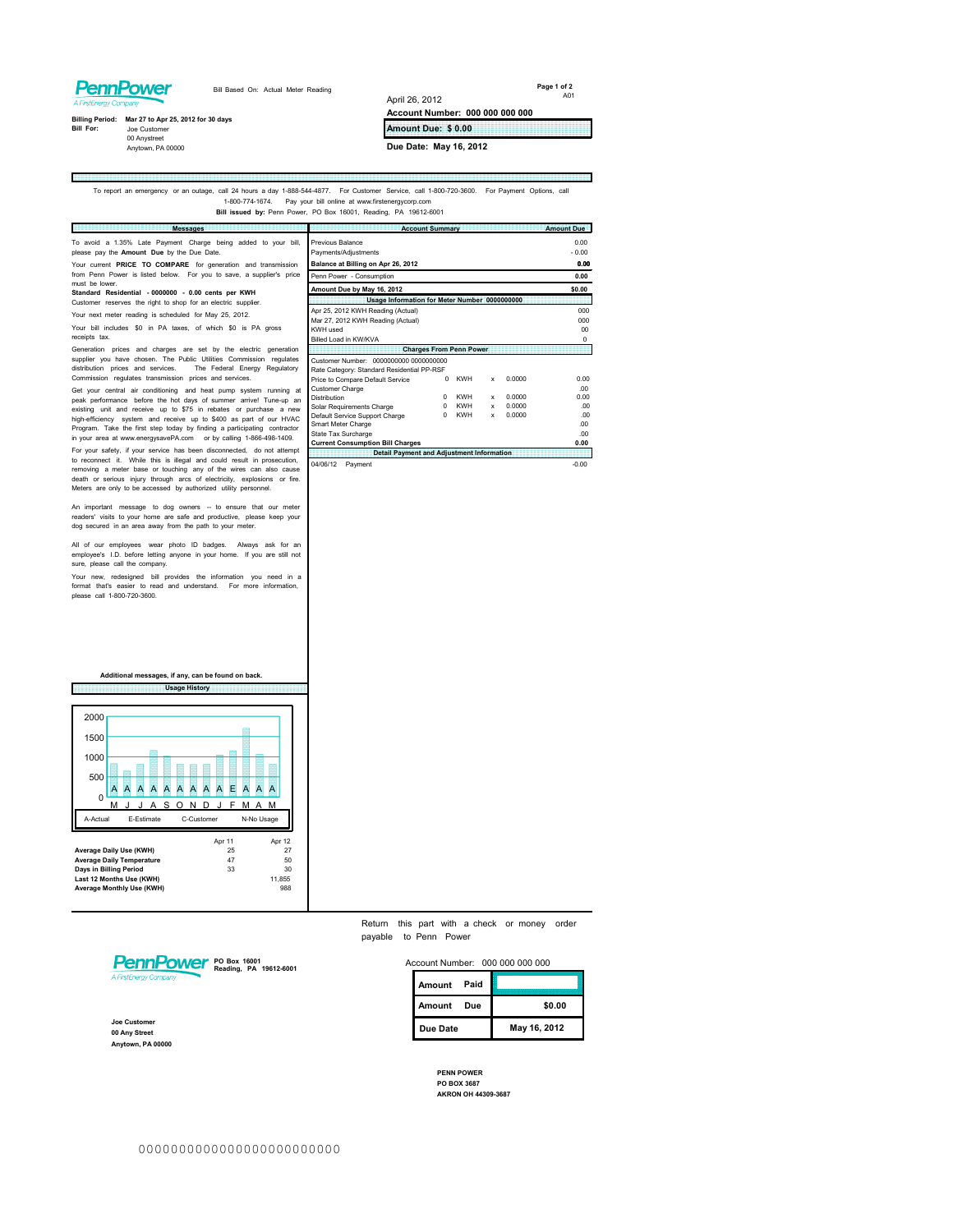## **PennPower**

E

Bill Based On: Actual Meter Reading

**Page 1 of 2** A01

щ

**Billing Period: Mar 27 to Apr 25, 2012 for 30 days<br>Bill For: Joe Customer** 

00 Anystreet Anytown, PA 00000

**Amount Due: \$ 0.00**

**Account Number: 000 000 000 000**

**Due Date: May 16, 2012**

April 26, 2012

To report an emergency or an outage, call 24 hours a day 1-888-544-4877. For Customer Service, call 1-800-720-3600. For Payment Options, call 1-800-774-1674. Pay your bill online at www.firstenergycorp.com **Bill issued by:** Penn Power, PO Box 16001, Reading, PA 19612-6001

| <b>Messages</b>                                                                                                                                                                                                                                                                                                                                                                                                                     | <b>Account Summary</b>                                                                                                                                                                                                                                                                              | <b>Amount Due</b>                                                       |
|-------------------------------------------------------------------------------------------------------------------------------------------------------------------------------------------------------------------------------------------------------------------------------------------------------------------------------------------------------------------------------------------------------------------------------------|-----------------------------------------------------------------------------------------------------------------------------------------------------------------------------------------------------------------------------------------------------------------------------------------------------|-------------------------------------------------------------------------|
| To avoid a 1.35% Late Payment Charge being added to your bill,<br>please pay the Amount Due by the Due Date.<br>Your current PRICE TO COMPARE for generation and transmission<br>from Penn Power is listed below. For you to save, a supplier's price<br>must be lower.                                                                                                                                                             | Previous Balance<br>Payments/Adjustments<br>Balance at Billing on Apr 26, 2012<br>Penn Power - Consumption<br>Amount Due by May 16, 2012                                                                                                                                                            | 0.00<br>$-0.00$<br>0.00<br>0.00<br>\$0.00                               |
| Standard Residential - 0000000 - 0.00 cents per KWH<br>Customer reserves the right to shop for an electric supplier.                                                                                                                                                                                                                                                                                                                | Usage Information for Meter Number 0000000000                                                                                                                                                                                                                                                       |                                                                         |
| Your next meter reading is scheduled for May 25, 2012.<br>Your bill includes \$0 in PA taxes, of which \$0 is PA gross<br>receipts tax.                                                                                                                                                                                                                                                                                             | Apr 25, 2012 KWH Reading (Actual)<br>Mar 27, 2012 KWH Reading (Actual)<br>KWH used<br>Billed I oad in KW/KVA                                                                                                                                                                                        | 000<br>000<br>00 <sub>0</sub><br>$\Omega$                               |
| Generation prices and charges are set by the electric generation<br>supplier you have chosen. The Public Utilities Commission regulates<br>distribution prices and services.<br>The Federal Energy Regulatory<br>Commission regulates transmission prices and services.                                                                                                                                                             | <b>Charges From Penn Power</b><br>Customer Number: 0000000000 0000000000<br>Rate Category: Standard Residential PP-RSF<br><b>KWH</b><br>0.0000<br>Price to Compare Default Service<br>O<br>x                                                                                                        | 0.00                                                                    |
| Get your central air conditioning and heat pump system running at<br>peak performance before the hot days of summer arrive! Tune-up an<br>existing unit and receive up to \$75 in rebates or purchase a new<br>high-efficiency system and receive up to \$400 as part of our HVAC<br>Program. Take the first step today by finding a participating contractor<br>in your area at www.energysavePA.com or by calling 1-866-498-1409. | <b>Customer Charge</b><br><b>KWH</b><br>0.0000<br>Distribution<br>n<br>$\mathbf x$<br><b>KWH</b><br>0.0000<br>Solar Requirements Charge<br>x<br><b>KWH</b><br>0.0000<br>Default Service Support Charge<br>x<br>Smart Meter Charge<br>State Tax Surcharge<br><b>Current Consumption Bill Charges</b> | .00<br>0.00<br>.00<br>00 <sup>1</sup><br>00 <sup>1</sup><br>-00<br>0.00 |
| For your safety, if your service has been disconnected, do not attempt<br>to reconnect it. While this is illegal and could result in prosecution,<br>.                                                                                                                                                                                                                                                                              | <b>Detail Payment and Adjustment Information</b><br>04/06/12 Payment                                                                                                                                                                                                                                | $-0.00$                                                                 |

to reconnect it. While this is illegal and could result in prosecution, a meter base or touching any of the wires can also cause<br>death or serious injury through arcs of electricity, explosions or fire.<br>Meters are only to b

An important message to dog owners -- to ensure that our meter readers' visits to your home are safe and productive, please keep your dog secured in an area away from the path to your meter.

All of our employees wear photo ID badges. Always ask for an employee's I.D. before letting anyone in your home. If you are still not sure, please call the company.

Your new, redesigned bill provides the information you need in a format that's easier to read and understand. For more information, please call 1-800-720-3600.

**Usage History Additional messages, if any, can be found on back.**



Return this part with a check or money order payable to Penn Power



**Joe Customer 00 Any Street Anytown, PA 00000**

| Account Number: 000 000 000 000 |             |  |              |
|---------------------------------|-------------|--|--------------|
|                                 | Amount Paid |  |              |
|                                 | Amount Due  |  | \$0.00       |
|                                 | Due Date    |  | May 16, 2012 |
|                                 |             |  |              |

**PENN POWER PO BOX 3687 AKRON OH 44309-3687**